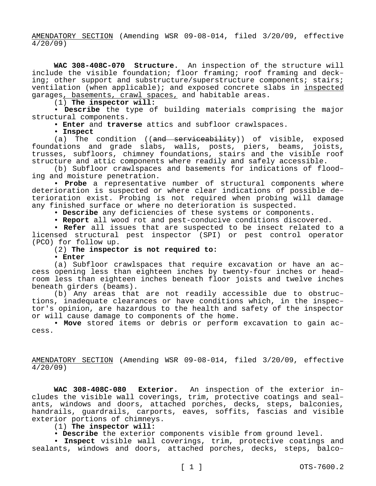AMENDATORY SECTION (Amending WSR 09-08-014, filed 3/20/09, effective 4/20/09)

**WAC 308-408C-070 Structure.** An inspection of the structure will include the visible foundation; floor framing; roof framing and decking; other support and substructure/superstructure components; stairs; ventilation (when applicable); and exposed concrete slabs in inspected garages, basements, crawl spaces, and habitable areas.

(1) **The inspector will:**

• **Describe** the type of building materials comprising the major structural components.

• **Enter** and **traverse** attics and subfloor crawlspaces.

• **Inspect**

(a) The condition ((and serviceability)) of visible, exposed foundations and grade slabs, walls, posts, piers, beams, joists, trusses, subfloors, chimney foundations, stairs and the visible roof structure and attic components where readily and safely accessible.

(b) Subfloor crawlspaces and basements for indications of flooding and moisture penetration.

• **Probe** a representative number of structural components where deterioration is suspected or where clear indications of possible deterioration exist. Probing is not required when probing will damage any finished surface or where no deterioration is suspected.

• **Describe** any deficiencies of these systems or components.

• **Report** all wood rot and pest-conducive conditions discovered.

• **Refer** all issues that are suspected to be insect related to a licensed structural pest inspector (SPI) or pest control operator (PCO) for follow up.

## (2) **The inspector is not required to:**

• **Enter**

(a) Subfloor crawlspaces that require excavation or have an access opening less than eighteen inches by twenty-four inches or headroom less than eighteen inches beneath floor joists and twelve inches beneath girders (beams).

(b) Any areas that are not readily accessible due to obstructions, inadequate clearances or have conditions which, in the inspector's opinion, are hazardous to the health and safety of the inspector or will cause damage to components of the home.

• **Move** stored items or debris or perform excavation to gain access.

AMENDATORY SECTION (Amending WSR 09-08-014, filed 3/20/09, effective 4/20/09)

**WAC 308-408C-080 Exterior.** An inspection of the exterior includes the visible wall coverings, trim, protective coatings and sealants, windows and doors, attached porches, decks, steps, balconies, handrails, guardrails, carports, eaves, soffits, fascias and visible exterior portions of chimneys.

## (1) **The inspector will:**

• **Describe** the exterior components visible from ground level.

• **Inspect** visible wall coverings, trim, protective coatings and sealants, windows and doors, attached porches, decks, steps, balco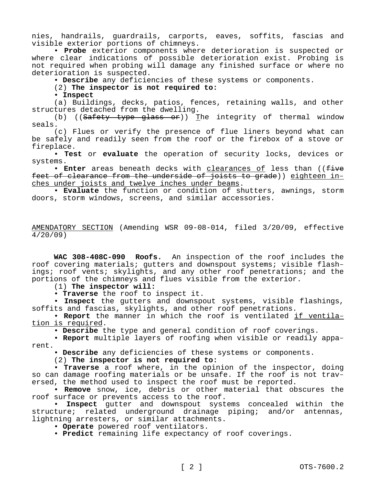nies, handrails, guardrails, carports, eaves, soffits, fascias and visible exterior portions of chimneys.

• **Probe** exterior components where deterioration is suspected or where clear indications of possible deterioration exist. Probing is not required when probing will damage any finished surface or where no deterioration is suspected.

• **Describe** any deficiencies of these systems or components.

# (2) **The inspector is not required to:**

• **Inspect**

(a) Buildings, decks, patios, fences, retaining walls, and other structures detached from the dwelling.

(b) (( $Safety$  type glass or)) The integrity of thermal window seals.

(c) Flues or verify the presence of flue liners beyond what can be safely and readily seen from the roof or the firebox of a stove or fireplace.

• **Test** or **evaluate** the operation of security locks, devices or systems.

• Enter areas beneath decks with clearances of less than ((five feet of clearance from the underside of joists to grade)) eighteen inches under joists and twelve inches under beams.

• **Evaluate** the function or condition of shutters, awnings, storm doors, storm windows, screens, and similar accessories.

AMENDATORY SECTION (Amending WSR 09-08-014, filed 3/20/09, effective 4/20/09)

**WAC 308-408C-090 Roofs.** An inspection of the roof includes the roof covering materials; gutters and downspout systems; visible flashings; roof vents; skylights, and any other roof penetrations; and the portions of the chimneys and flues visible from the exterior.

(1) **The inspector will:**

• **Traverse** the roof to inspect it.

• **Inspect** the gutters and downspout systems, visible flashings, soffits and fascias, skylights, and other roof penetrations.

• **Report** the manner in which the roof is ventilated if ventilation is required.

• **Describe** the type and general condition of roof coverings.

• **Report** multiple layers of roofing when visible or readily apparent.

• **Describe** any deficiencies of these systems or components.

(2) **The inspector is not required to:**

• **Traverse** a roof where, in the opinion of the inspector, doing so can damage roofing materials or be unsafe. If the roof is not traversed, the method used to inspect the roof must be reported.

• **Remove** snow, ice, debris or other material that obscures the roof surface or prevents access to the roof.

• **Inspect** gutter and downspout systems concealed within the structure; related underground drainage piping; and/or antennas, lightning arresters, or similar attachments.

• **Operate** powered roof ventilators.

• **Predict** remaining life expectancy of roof coverings.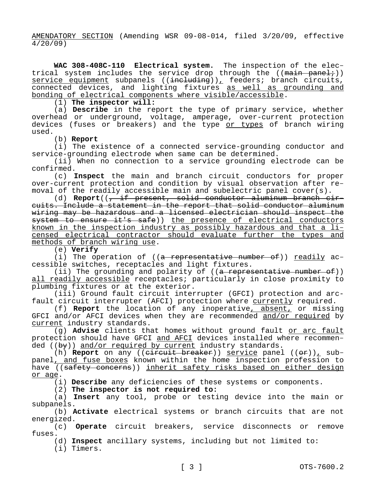AMENDATORY SECTION (Amending WSR 09-08-014, filed 3/20/09, effective 4/20/09)

**WAC 308-408C-110 Electrical system.** The inspection of the electrical system includes the service drop through the  $((\text{main panel:}))$ service equipment subpanels ((including)), feeders; branch circuits, connected devices, and lighting fixtures as well as grounding and bonding of electrical components where visible/accessible.

(1) **The inspector will:**

(a) **Describe** in the report the type of primary service, whether overhead or underground, voltage, amperage, over-current protection devices (fuses or breakers) and the type or types of branch wiring used.

(b) **Report**

(i) The existence of a connected service-grounding conductor and service-grounding electrode when same can be determined.

(ii) When no connection to a service grounding electrode can be confirmed.

(c) **Inspect** the main and branch circuit conductors for proper over-current protection and condition by visual observation after removal of the readily accessible main and subelectric panel cover(s).

(d) Report((, if present, solid conductor aluminum branch circuits. Include a statement in the report that solid conductor aluminum wiring may be hazardous and a licensed electrician should inspect the system to ensure it's safe)) the presence of electrical conductors known in the inspection industry as possibly hazardous and that a licensed electrical contractor should evaluate further the types and methods of branch wiring use.

(e) **Verify**

(i) The operation of  $((a + a)$  representative number of)) readily accessible switches, receptacles and light fixtures.

(ii) The grounding and polarity of ((a representative number of)) all readily accessible receptacles; particularly in close proximity to plumbing fixtures or at the exterior.

(iii) Ground fault circuit interrupter (GFCI) protection and arcfault circuit interrupter (AFCI) protection where currently required.

(f) **Report** the location of any inoperative, absent, or missing GFCI and/or AFCI devices when they are recommended and/or required by current industry standards.

(g) **Advise** clients that homes without ground fault or arc fault protection should have GFCI and AFCI devices installed where recommended  $((by))$  and/or required by current industry standards.

(h) **Report** on any ((circuit breaker)) service panel ((or)), subpanel<u>, and fuse boxes</u> known within the home inspection profession to have ((safety concerns)) inherit safety risks based on either design or age.

(i) **Describe** any deficiencies of these systems or components.

(2) **The inspector is not required to:**

(a) **Insert** any tool, probe or testing device into the main or subpanels.

(b) **Activate** electrical systems or branch circuits that are not energized.

(c) **Operate** circuit breakers, service disconnects or remove fuses.

(d) **Inspect** ancillary systems, including but not limited to:

(i) Timers.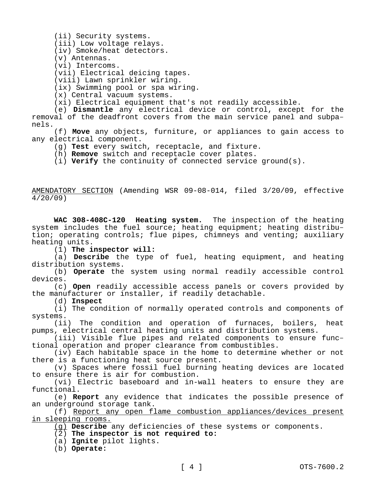(ii) Security systems.

(iii) Low voltage relays.

(iv) Smoke/heat detectors.

- (v) Antennas.
- (vi) Intercoms.

(vii) Electrical deicing tapes.

- (viii) Lawn sprinkler wiring.
- (ix) Swimming pool or spa wiring.
- (x) Central vacuum systems.

(xi) Electrical equipment that's not readily accessible.

(e) **Dismantle** any electrical device or control, except for the removal of the deadfront covers from the main service panel and subpanels.

(f) **Move** any objects, furniture, or appliances to gain access to any electrical component.

- (g) **Test** every switch, receptacle, and fixture.
- (h) **Remove** switch and receptacle cover plates.

(i) **Verify** the continuity of connected service ground(s).

AMENDATORY SECTION (Amending WSR 09-08-014, filed 3/20/09, effective 4/20/09)

**WAC 308-408C-120 Heating system.** The inspection of the heating system includes the fuel source; heating equipment; heating distribution; operating controls; flue pipes, chimneys and venting; auxiliary heating units.

(1) **The inspector will:**

(a) **Describe** the type of fuel, heating equipment, and heating distribution systems.

(b) **Operate** the system using normal readily accessible control devices.

(c) **Open** readily accessible access panels or covers provided by the manufacturer or installer, if readily detachable.

(d) **Inspect**

(i) The condition of normally operated controls and components of systems.

(ii) The condition and operation of furnaces, boilers, heat pumps, electrical central heating units and distribution systems.

(iii) Visible flue pipes and related components to ensure functional operation and proper clearance from combustibles.

(iv) Each habitable space in the home to determine whether or not there is a functioning heat source present.

(v) Spaces where fossil fuel burning heating devices are located to ensure there is air for combustion.

(vi) Electric baseboard and in-wall heaters to ensure they are functional.

(e) **Report** any evidence that indicates the possible presence of an underground storage tank.

(f) Report any open flame combustion appliances/devices present in sleeping rooms.

(g) **Describe** any deficiencies of these systems or components.

(2) **The inspector is not required to:**

(a) **Ignite** pilot lights.

(b) **Operate:**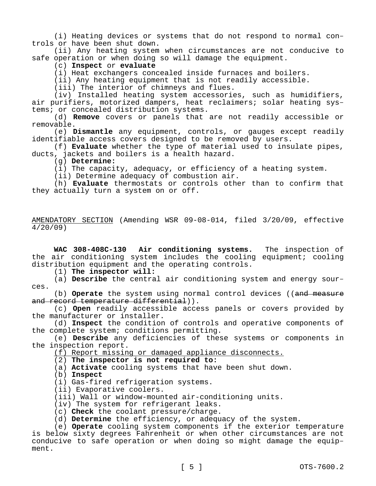(i) Heating devices or systems that do not respond to normal controls or have been shut down.

(ii) Any heating system when circumstances are not conducive to safe operation or when doing so will damage the equipment.

### (c) **Inspect** or **evaluate**

(i) Heat exchangers concealed inside furnaces and boilers.

(ii) Any heating equipment that is not readily accessible.

(iii) The interior of chimneys and flues.

(iv) Installed heating system accessories, such as humidifiers, air purifiers, motorized dampers, heat reclaimers; solar heating systems; or concealed distribution systems.

(d) **Remove** covers or panels that are not readily accessible or removable.

(e) **Dismantle** any equipment, controls, or gauges except readily identifiable access covers designed to be removed by users.

(f) **Evaluate** whether the type of material used to insulate pipes, ducts, jackets and boilers is a health hazard.

(g) **Determine:**

(i) The capacity, adequacy, or efficiency of a heating system.

(ii) Determine adequacy of combustion air.

(h) **Evaluate** thermostats or controls other than to confirm that they actually turn a system on or off.

AMENDATORY SECTION (Amending WSR 09-08-014, filed 3/20/09, effective 4/20/09)

**WAC 308-408C-130 Air conditioning systems.** The inspection of the air conditioning system includes the cooling equipment; cooling distribution equipment and the operating controls.

(1) **The inspector will:**

(a) **Describe** the central air conditioning system and energy sources.

(b) **Operate** the system using normal control devices ((and measure and record temperature differential)).

(c) **Open** readily accessible access panels or covers provided by the manufacturer or installer.

(d) **Inspect** the condition of controls and operative components of the complete system; conditions permitting.

(e) **Describe** any deficiencies of these systems or components in the inspection report.

(f) Report missing or damaged appliance disconnects.

# (2) **The inspector is not required to:**

(a) **Activate** cooling systems that have been shut down.

(b) **Inspect**

(i) Gas-fired refrigeration systems.

(ii) Evaporative coolers.

(iii) Wall or window-mounted air-conditioning units.

(iv) The system for refrigerant leaks.

(c) **Check** the coolant pressure/charge.

(d) **Determine** the efficiency, or adequacy of the system.

(e) **Operate** cooling system components if the exterior temperature is below sixty degrees Fahrenheit or when other circumstances are not conducive to safe operation or when doing so might damage the equipment.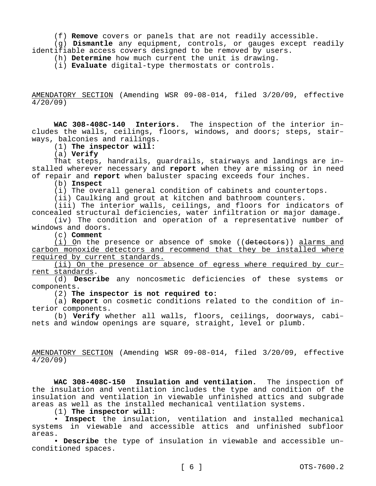(f) **Remove** covers or panels that are not readily accessible.

(g) **Dismantle** any equipment, controls, or gauges except readily identifiable access covers designed to be removed by users.

(h) **Determine** how much current the unit is drawing.

(i) **Evaluate** digital-type thermostats or controls.

AMENDATORY SECTION (Amending WSR 09-08-014, filed 3/20/09, effective 4/20/09)

**WAC 308-408C-140 Interiors.** The inspection of the interior includes the walls, ceilings, floors, windows, and doors; steps, stairways, balconies and railings.

(1) **The inspector will:**

(a) **Verify**

That steps, handrails, guardrails, stairways and landings are installed wherever necessary and **report** when they are missing or in need of repair and **report** when baluster spacing exceeds four inches.

(b) **Inspect**

(i) The overall general condition of cabinets and countertops.

(ii) Caulking and grout at kitchen and bathroom counters.

(iii) The interior walls, ceilings, and floors for indicators of concealed structural deficiencies, water infiltration or major damage.

(iv) The condition and operation of a representative number of windows and doors.

(c) **Comment**

(i) On the presence or absence of smoke ((detectors)) alarms and carbon monoxide detectors and recommend that they be installed where required by current standards.

(ii) On the presence or absence of egress where required by current standards.

(d) **Describe** any noncosmetic deficiencies of these systems or components.

(2) **The inspector is not required to:**

(a) **Report** on cosmetic conditions related to the condition of interior components.

(b) **Verify** whether all walls, floors, ceilings, doorways, cabinets and window openings are square, straight, level or plumb.

AMENDATORY SECTION (Amending WSR 09-08-014, filed 3/20/09, effective 4/20/09)

**WAC 308-408C-150 Insulation and ventilation.** The inspection of the insulation and ventilation includes the type and condition of the insulation and ventilation in viewable unfinished attics and subgrade areas as well as the installed mechanical ventilation systems.

(1) **The inspector will:**

• **Inspect** the insulation, ventilation and installed mechanical systems in viewable and accessible attics and unfinished subfloor areas.

• **Describe** the type of insulation in viewable and accessible unconditioned spaces.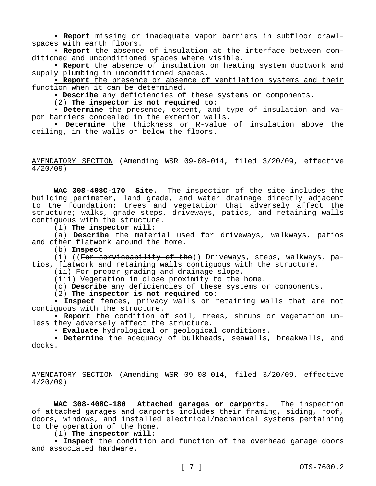• **Report** missing or inadequate vapor barriers in subfloor crawlspaces with earth floors.

• **Report** the absence of insulation at the interface between conditioned and unconditioned spaces where visible.

• **Report** the absence of insulation on heating system ductwork and supply plumbing in unconditioned spaces.

• **Report** the presence or absence of ventilation systems and their function when it can be determined.

• **Describe** any deficiencies of these systems or components.

(2) **The inspector is not required to:**

• **Determine** the presence, extent, and type of insulation and vapor barriers concealed in the exterior walls.

• **Determine** the thickness or R-value of insulation above the ceiling, in the walls or below the floors.

AMENDATORY SECTION (Amending WSR 09-08-014, filed 3/20/09, effective 4/20/09)

**WAC 308-408C-170 Site.** The inspection of the site includes the building perimeter, land grade, and water drainage directly adjacent to the foundation; trees and vegetation that adversely affect the structure; walks, grade steps, driveways, patios, and retaining walls contiguous with the structure.

(1) **The inspector will:**

(a) **Describe** the material used for driveways, walkways, patios and other flatwork around the home.

(b) **Inspect**

(i) ((For serviceability of the)) Driveways, steps, walkways, patios, flatwork and retaining walls contiguous with the structure.

(ii) For proper grading and drainage slope.

(iii) Vegetation in close proximity to the home.

(c) **Describe** any deficiencies of these systems or components.

(2) **The inspector is not required to:**

• **Inspect** fences, privacy walls or retaining walls that are not contiguous with the structure.

• **Report** the condition of soil, trees, shrubs or vegetation unless they adversely affect the structure.

• **Evaluate** hydrological or geological conditions.

• **Determine** the adequacy of bulkheads, seawalls, breakwalls, and docks.

AMENDATORY SECTION (Amending WSR 09-08-014, filed 3/20/09, effective 4/20/09)

**WAC 308-408C-180 Attached garages or carports.** The inspection of attached garages and carports includes their framing, siding, roof, doors, windows, and installed electrical/mechanical systems pertaining to the operation of the home.

(1) **The inspector will:**

• **Inspect** the condition and function of the overhead garage doors and associated hardware.